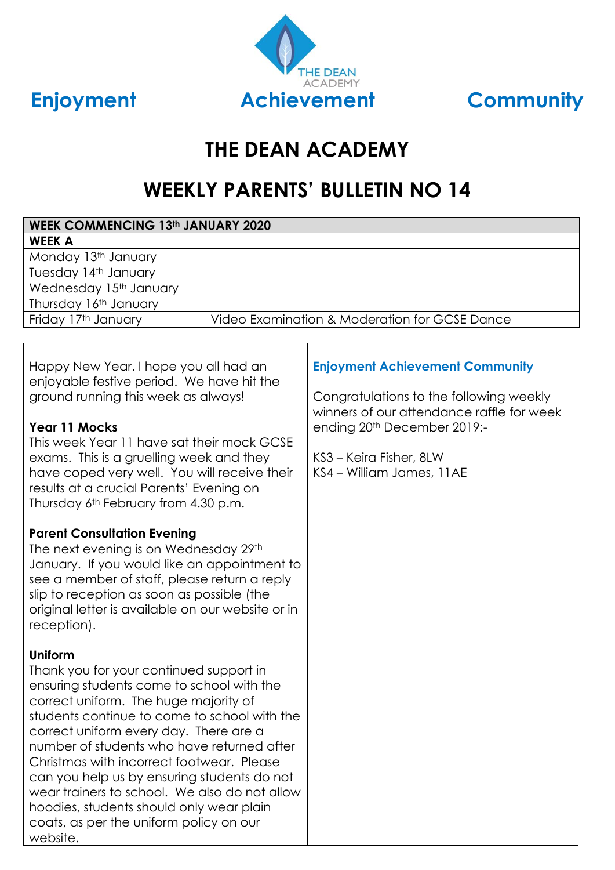



# **THE DEAN ACADEMY**

# **WEEKLY PARENTS' BULLETIN NO 14**

| <b>WEEK COMMENCING 13th JANUARY 2020</b> |                                               |  |  |
|------------------------------------------|-----------------------------------------------|--|--|
| <b>WEEK A</b>                            |                                               |  |  |
| Monday 13th January                      |                                               |  |  |
| Tuesday 14th January                     |                                               |  |  |
| Wednesday 15th January                   |                                               |  |  |
| Thursday 16th January                    |                                               |  |  |
| Friday 17th January                      | Video Examination & Moderation for GCSE Dance |  |  |
|                                          |                                               |  |  |

Happy New Year. I hope you all had an enjoyable festive period. We have hit the ground running this week as always!

#### **Year 11 Mocks**

This week Year 11 have sat their mock GCSE exams. This is a gruelling week and they have coped very well. You will receive their results at a crucial Parents' Evening on Thursday 6th February from 4.30 p.m.

#### **Parent Consultation Evening**

The next evening is on Wednesday 29th January. If you would like an appointment to see a member of staff, please return a reply slip to reception as soon as possible (the original letter is available on our website or in reception).

## **Uniform**

Thank you for your continued support in ensuring students come to school with the correct uniform. The huge majority of students continue to come to school with the correct uniform every day. There are a number of students who have returned after Christmas with incorrect footwear. Please can you help us by ensuring students do not wear trainers to school. We also do not allow hoodies, students should only wear plain coats, as per the uniform policy on our website.

# **Enjoyment Achievement Community**

Congratulations to the following weekly winners of our attendance raffle for week ending 20th December 2019:-

KS3 – Keira Fisher, 8LW KS4 – William James, 11AE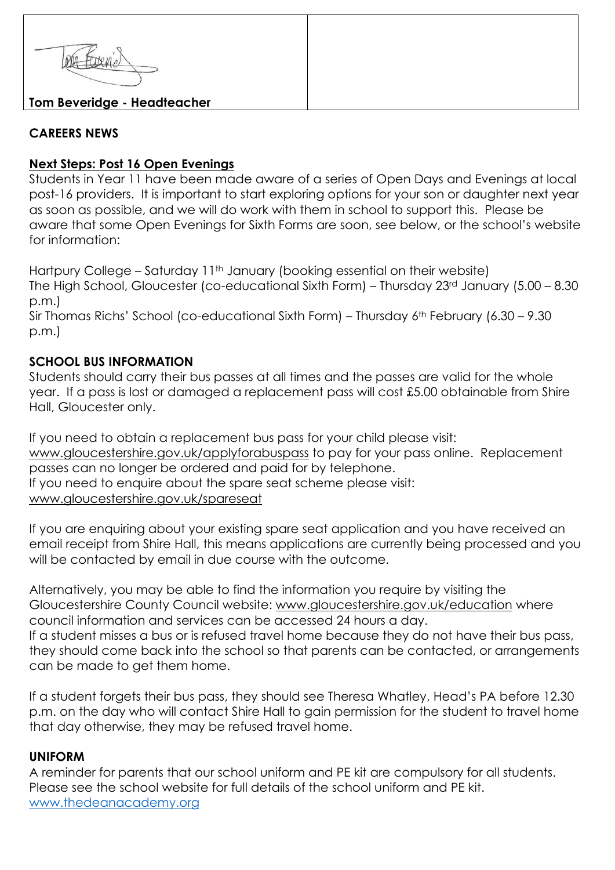

## **CAREERS NEWS**

#### **Next Steps: Post 16 Open Evenings**

Students in Year 11 have been made aware of a series of Open Days and Evenings at local post-16 providers. It is important to start exploring options for your son or daughter next year as soon as possible, and we will do work with them in school to support this. Please be aware that some Open Evenings for Sixth Forms are soon, see below, or the school's website for information:

Hartpury College – Saturday 11<sup>th</sup> January (booking essential on their website) The High School, Gloucester (co-educational Sixth Form) – Thursday 23rd January (5.00 – 8.30 p.m.)

Sir Thomas Richs' School (co-educational Sixth Form) – Thursday 6th February (6.30 – 9.30 p.m.)

## **SCHOOL BUS INFORMATION**

Students should carry their bus passes at all times and the passes are valid for the whole year. If a pass is lost or damaged a replacement pass will cost £5.00 obtainable from Shire Hall, Gloucester only.

If you need to obtain a replacement bus pass for your child please visit: [www.gloucestershire.gov.uk/applyforabuspass](http://www.gloucestershire.gov.uk/applyforabuspass) to pay for your pass online. Replacement passes can no longer be ordered and paid for by telephone. If you need to enquire about the spare seat scheme please visit: [www.gloucestershire.gov.uk/spareseat](http://www.gloucestershire.gov.uk/spareseat)

If you are enquiring about your existing spare seat application and you have received an email receipt from Shire Hall, this means applications are currently being processed and you will be contacted by email in due course with the outcome.

Alternatively, you may be able to find the information you require by visiting the Gloucestershire County Council website: [www.gloucestershire.gov.uk/education](http://www.gloucestershire.gov.uk/education) where council information and services can be accessed 24 hours a day. If a student misses a bus or is refused travel home because they do not have their bus pass, they should come back into the school so that parents can be contacted, or arrangements can be made to get them home.

If a student forgets their bus pass, they should see Theresa Whatley, Head's PA before 12.30 p.m. on the day who will contact Shire Hall to gain permission for the student to travel home that day otherwise, they may be refused travel home.

## **UNIFORM**

A reminder for parents that our school uniform and PE kit are compulsory for all students. Please see the school website for full details of the school uniform and PE kit. [www.thedeanacademy.org](http://www.thedeanacademy.org/)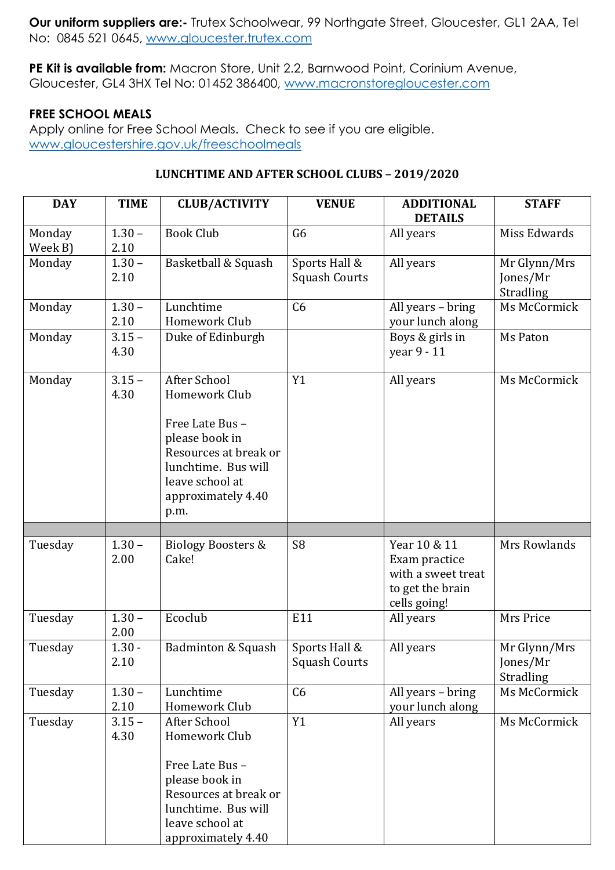**Our uniform suppliers are:-** Trutex Schoolwear, 99 Northgate Street, Gloucester, GL1 2AA, Tel No: 0845 521 0645, [www.gloucester.trutex.com](http://www.gloucester.trutex.com/)

**PE Kit is available from:** Macron Store, Unit 2.2, Barnwood Point, Corinium Avenue, Gloucester, GL4 3HX Tel No: 01452 386400, [www.macronstoregloucester.com](http://www.macronstoregloucester.com/)

#### **FREE SCHOOL MEALS**

Apply online for Free School Meals. Check to see if you are eligible. [www.gloucestershire.gov.uk/freeschoolmeals](http://www.gloucestershire.gov.uk/freeschoolmeals)

#### **LUNCHTIME AND AFTER SCHOOL CLUBS – 2019/2020**

| <b>DAY</b>        | <b>TIME</b>      | <b>CLUB/ACTIVITY</b>                                                                                                                                                | <b>VENUE</b>                          | <b>ADDITIONAL</b><br><b>DETAILS</b>                                                     | <b>STAFF</b>                          |
|-------------------|------------------|---------------------------------------------------------------------------------------------------------------------------------------------------------------------|---------------------------------------|-----------------------------------------------------------------------------------------|---------------------------------------|
| Monday<br>Week B) | $1.30 -$<br>2.10 | <b>Book Club</b>                                                                                                                                                    | G <sub>6</sub>                        | All years                                                                               | Miss Edwards                          |
| Monday            | $1.30 -$<br>2.10 | Basketball & Squash                                                                                                                                                 | Sports Hall &<br><b>Squash Courts</b> | All years                                                                               | Mr Glynn/Mrs<br>Jones/Mr<br>Stradling |
| Monday            | $1.30 -$<br>2.10 | Lunchtime<br>Homework Club                                                                                                                                          | C6                                    | All years - bring<br>your lunch along                                                   | Ms McCormick                          |
| Monday            | $3.15 -$<br>4.30 | Duke of Edinburgh                                                                                                                                                   |                                       | Boys & girls in<br>year 9 - 11                                                          | Ms Paton                              |
| Monday            | $3.15 -$<br>4.30 | After School<br>Homework Club<br>Free Late Bus -<br>please book in<br>Resources at break or<br>lunchtime. Bus will<br>leave school at<br>approximately 4.40<br>p.m. | Y1                                    | All years                                                                               | Ms McCormick                          |
|                   |                  |                                                                                                                                                                     |                                       |                                                                                         |                                       |
| Tuesday           | $1.30 -$<br>2.00 | <b>Biology Boosters &amp;</b><br>Cake!                                                                                                                              | S <sub>8</sub>                        | Year 10 & 11<br>Exam practice<br>with a sweet treat<br>to get the brain<br>cells going! | Mrs Rowlands                          |
| Tuesday           | $1.30 -$<br>2.00 | Ecoclub                                                                                                                                                             | E11                                   | All years                                                                               | Mrs Price                             |
| Tuesday           | $1.30 -$<br>2.10 | Badminton & Squash                                                                                                                                                  | Sports Hall &<br><b>Squash Courts</b> | All years                                                                               | Mr Glynn/Mrs<br>Jones/Mr<br>Stradling |
| Tuesday           | $1.30 -$<br>2.10 | Lunchtime<br>Homework Club                                                                                                                                          | C <sub>6</sub>                        | All years - bring<br>your lunch along                                                   | Ms McCormick                          |
| Tuesday           | $3.15 -$<br>4.30 | After School<br>Homework Club<br>Free Late Bus -<br>please book in<br>Resources at break or<br>lunchtime. Bus will<br>leave school at<br>approximately 4.40         | Y1                                    | All years                                                                               | Ms McCormick                          |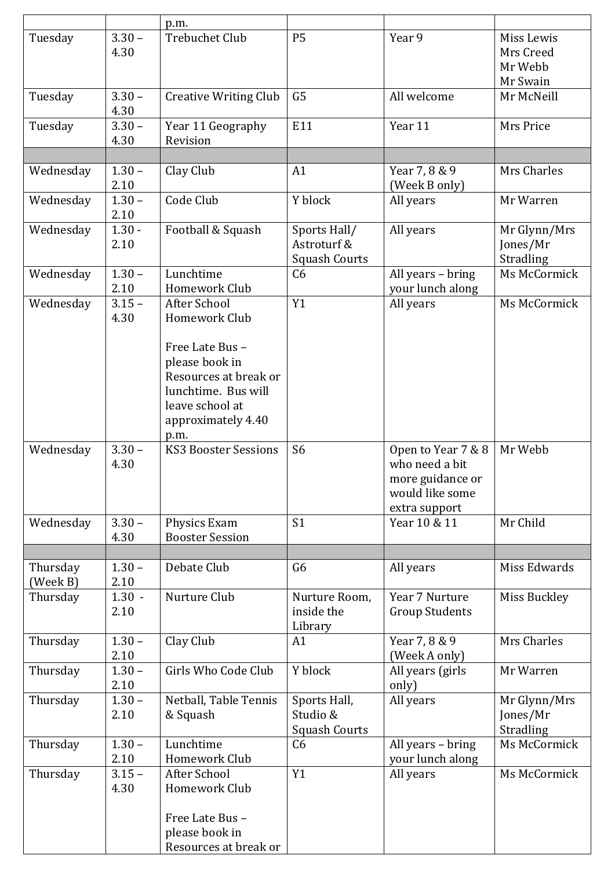|                      |                  | p.m.                                                                                                                               |                                                     |                                                                                              |                                                |
|----------------------|------------------|------------------------------------------------------------------------------------------------------------------------------------|-----------------------------------------------------|----------------------------------------------------------------------------------------------|------------------------------------------------|
| Tuesday              | $3.30 -$<br>4.30 | <b>Trebuchet Club</b>                                                                                                              | <b>P5</b>                                           | Year 9                                                                                       | Miss Lewis<br>Mrs Creed<br>Mr Webb<br>Mr Swain |
| Tuesday              | $3.30 -$<br>4.30 | <b>Creative Writing Club</b>                                                                                                       | G <sub>5</sub>                                      | All welcome                                                                                  | Mr McNeill                                     |
| Tuesday              | $3.30 -$<br>4.30 | Year 11 Geography<br>Revision                                                                                                      | E11                                                 | Year 11                                                                                      | Mrs Price                                      |
|                      |                  |                                                                                                                                    |                                                     |                                                                                              |                                                |
| Wednesday            | $1.30 -$<br>2.10 | Clay Club                                                                                                                          | A1                                                  | Year 7, 8 & 9<br>(Week B only)                                                               | Mrs Charles                                    |
| Wednesday            | $1.30 -$<br>2.10 | Code Club                                                                                                                          | Y block                                             | All years                                                                                    | Mr Warren                                      |
| Wednesday            | $1.30 -$<br>2.10 | Football & Squash                                                                                                                  | Sports Hall/<br>Astroturf &<br><b>Squash Courts</b> | All years                                                                                    | Mr Glynn/Mrs<br>Jones/Mr<br>Stradling          |
| Wednesday            | $1.30 -$<br>2.10 | Lunchtime<br>Homework Club                                                                                                         | C <sub>6</sub>                                      | All years - bring<br>your lunch along                                                        | Ms McCormick                                   |
| Wednesday            | $3.15 -$<br>4.30 | After School<br>Homework Club                                                                                                      | Y1                                                  | All years                                                                                    | Ms McCormick                                   |
|                      |                  | Free Late Bus -<br>please book in<br>Resources at break or<br>lunchtime. Bus will<br>leave school at<br>approximately 4.40<br>p.m. |                                                     |                                                                                              |                                                |
| Wednesday            | $3.30 -$<br>4.30 | <b>KS3 Booster Sessions</b>                                                                                                        | S <sub>6</sub>                                      | Open to Year 7 & 8<br>who need a bit<br>more guidance or<br>would like some<br>extra support | Mr Webb                                        |
| Wednesday            | $3.30 -$<br>4.30 | Physics Exam<br><b>Booster Session</b>                                                                                             | S <sub>1</sub>                                      | Year 10 & 11                                                                                 | Mr Child                                       |
|                      |                  |                                                                                                                                    |                                                     |                                                                                              |                                                |
| Thursday<br>(Week B) | $1.30 -$<br>2.10 | Debate Club                                                                                                                        | G <sub>6</sub>                                      | All years                                                                                    | Miss Edwards                                   |
| Thursday             | $1.30 -$<br>2.10 | Nurture Club                                                                                                                       | Nurture Room,<br>inside the<br>Library              | Year 7 Nurture<br><b>Group Students</b>                                                      | Miss Buckley                                   |
| Thursday             | $1.30 -$<br>2.10 | Clay Club                                                                                                                          | A1                                                  | Year 7, 8 & 9<br>(Week A only)                                                               | Mrs Charles                                    |
| Thursday             | $1.30 -$<br>2.10 | Girls Who Code Club                                                                                                                | Y block                                             | All years (girls<br>only)                                                                    | Mr Warren                                      |
| Thursday             | $1.30 -$<br>2.10 | Netball, Table Tennis<br>& Squash                                                                                                  | Sports Hall,<br>Studio &<br><b>Squash Courts</b>    | All years                                                                                    | Mr Glynn/Mrs<br>Jones/Mr<br>Stradling          |
| Thursday             | $1.30 -$<br>2.10 | Lunchtime<br>Homework Club                                                                                                         | C <sub>6</sub>                                      | All years - bring<br>your lunch along                                                        | Ms McCormick                                   |
| Thursday             | $3.15 -$<br>4.30 | <b>After School</b><br>Homework Club                                                                                               | Y1                                                  | All years                                                                                    | Ms McCormick                                   |
|                      |                  | Free Late Bus -<br>please book in<br>Resources at break or                                                                         |                                                     |                                                                                              |                                                |